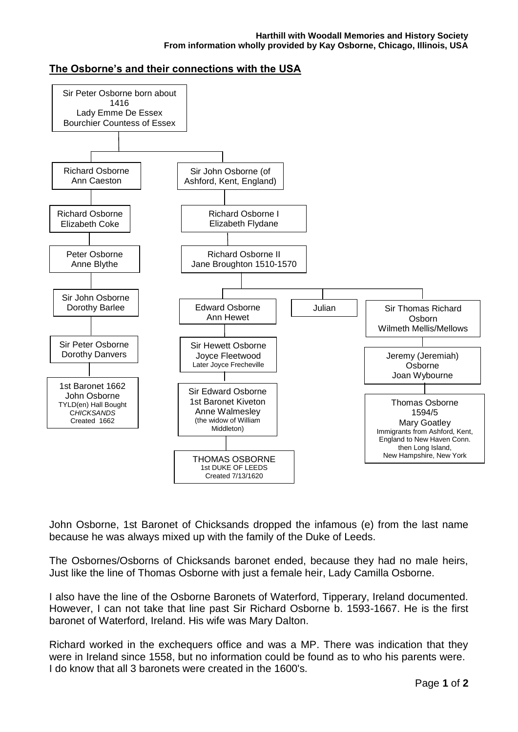## **The Osborne's and their connections with the USA**



John Osborne, 1st Baronet of Chicksands dropped the infamous (e) from the last name because he was always mixed up with the family of the Duke of Leeds.

The Osbornes/Osborns of Chicksands baronet ended, because they had no male heirs, Just like the line of Thomas Osborne with just a female heir, Lady Camilla Osborne.

I also have the line of the Osborne Baronets of Waterford, Tipperary, Ireland documented. However, I can not take that line past Sir Richard Osborne b. 1593-1667. He is the first baronet of Waterford, Ireland. His wife was Mary Dalton.

Richard worked in the exchequers office and was a MP. There was indication that they were in Ireland since 1558, but no information could be found as to who his parents were. I do know that all 3 baronets were created in the 1600's.